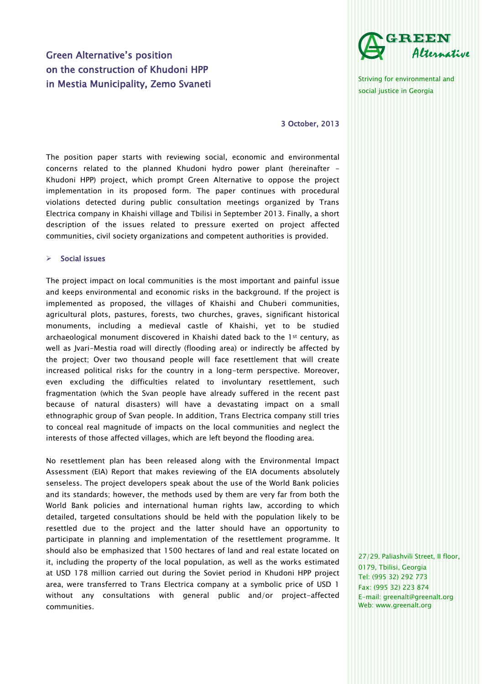# Green Alternative's position on the construction of Khudoni HPP in Mestia Municipality, Zemo Svaneti



Striving for environmental and social justice in Georgia

3 October, 2013

The position paper starts with reviewing social, economic and environmental concerns related to the planned Khudoni hydro power plant (hereinafter - Khudoni HPP) project, which prompt Green Alternative to oppose the project implementation in its proposed form. The paper continues with procedural violations detected during public consultation meetings organized by Trans Electrica company in Khaishi village and Tbilisi in September 2013. Finally, a short description of the issues related to pressure exerted on project affected communities, civil society organizations and competent authorities is provided.

#### Social issues

The project impact on local communities is the most important and painful issue and keeps environmental and economic risks in the background. If the project is implemented as proposed, the villages of Khaishi and Chuberi communities, agricultural plots, pastures, forests, two churches, graves, significant historical monuments, including a medieval castle of Khaishi, yet to be studied archaeological monument discovered in Khaishi dated back to the 1st century, as well as Jvari-Mestia road will directly (flooding area) or indirectly be affected by the project; Over two thousand people will face resettlement that will create increased political risks for the country in a long-term perspective. Moreover, even excluding the difficulties related to involuntary resettlement, such fragmentation (which the Svan people have already suffered in the recent past because of natural disasters) will have a devastating impact on a small ethnographic group of Svan people. In addition, Trans Electrica company still tries to conceal real magnitude of impacts on the local communities and neglect the interests of those affected villages, which are left beyond the flooding area.

No resettlement plan has been released along with the Environmental Impact Assessment (EIA) Report that makes reviewing of the EIA documents absolutely senseless. The project developers speak about the use of the World Bank policies and its standards; however, the methods used by them are very far from both the World Bank policies and international human rights law, according to which detailed, targeted consultations should be held with the population likely to be resettled due to the project and the latter should have an opportunity to participate in planning and implementation of the resettlement programme. It should also be emphasized that 1500 hectares of land and real estate located on it, including the property of the local population, as well as the works estimated at USD 178 million carried out during the Soviet period in Khudoni HPP project area, were transferred to Trans Electrica company at a symbolic price of USD 1 without any consultations with general public and/or project-affected communities.

27/29, Paliashvili Street, II floor, 0179, Tbilisi, Georgia Tel: (995 32) 292 773 Fax: (995 32) 223 874 E-mail: greenalt@greenalt.org Web: www.greenalt.org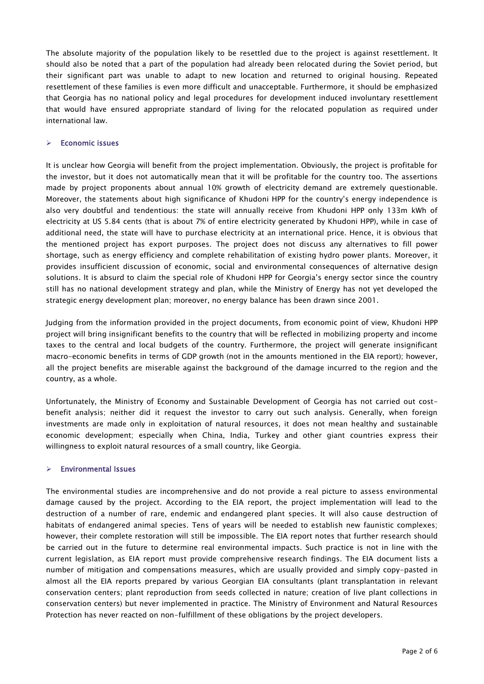The absolute majority of the population likely to be resettled due to the project is against resettlement. It should also be noted that a part of the population had already been relocated during the Soviet period, but their significant part was unable to adapt to new location and returned to original housing. Repeated resettlement of these families is even more difficult and unacceptable. Furthermore, it should be emphasized that Georgia has no national policy and legal procedures for development induced involuntary resettlement that would have ensured appropriate standard of living for the relocated population as required under international law.

## $\triangleright$  Economic issues

It is unclear how Georgia will benefit from the project implementation. Obviously, the project is profitable for the investor, but it does not automatically mean that it will be profitable for the country too. The assertions made by project proponents about annual 10% growth of electricity demand are extremely questionable. Moreover, the statements about high significance of Khudoni HPP for the country's energy independence is also very doubtful and tendentious: the state will annually receive from Khudoni HPP only 133m kWh of electricity at US 5.84 cents (that is about 7% of entire electricity generated by Khudoni HPP), while in case of additional need, the state will have to purchase electricity at an international price. Hence, it is obvious that the mentioned project has export purposes. The project does not discuss any alternatives to fill power shortage, such as energy efficiency and complete rehabilitation of existing hydro power plants. Moreover, it provides insufficient discussion of economic, social and environmental consequences of alternative design solutions. It is absurd to claim the special role of Khudoni HPP for Georgia's energy sector since the country still has no national development strategy and plan, while the Ministry of Energy has not yet developed the strategic energy development plan; moreover, no energy balance has been drawn since 2001.

Judging from the information provided in the project documents, from economic point of view, Khudoni HPP project will bring insignificant benefits to the country that will be reflected in mobilizing property and income taxes to the central and local budgets of the country. Furthermore, the project will generate insignificant macro-economic benefits in terms of GDP growth (not in the amounts mentioned in the EIA report); however, all the project benefits are miserable against the background of the damage incurred to the region and the country, as a whole.

Unfortunately, the Ministry of Economy and Sustainable Development of Georgia has not carried out costbenefit analysis; neither did it request the investor to carry out such analysis. Generally, when foreign investments are made only in exploitation of natural resources, it does not mean healthy and sustainable economic development; especially when China, India, Turkey and other giant countries express their willingness to exploit natural resources of a small country, like Georgia.

### $\triangleright$  Environmental Issues

The environmental studies are incomprehensive and do not provide a real picture to assess environmental damage caused by the project. According to the EIA report, the project implementation will lead to the destruction of a number of rare, endemic and endangered plant species. It will also cause destruction of habitats of endangered animal species. Tens of years will be needed to establish new faunistic complexes; however, their complete restoration will still be impossible. The EIA report notes that further research should be carried out in the future to determine real environmental impacts. Such practice is not in line with the current legislation, as EIA report must provide comprehensive research findings. The EIA document lists a number of mitigation and compensations measures, which are usually provided and simply copy-pasted in almost all the EIA reports prepared by various Georgian EIA consultants (plant transplantation in relevant conservation centers; plant reproduction from seeds collected in nature; creation of live plant collections in conservation centers) but never implemented in practice. The Ministry of Environment and Natural Resources Protection has never reacted on non-fulfillment of these obligations by the project developers.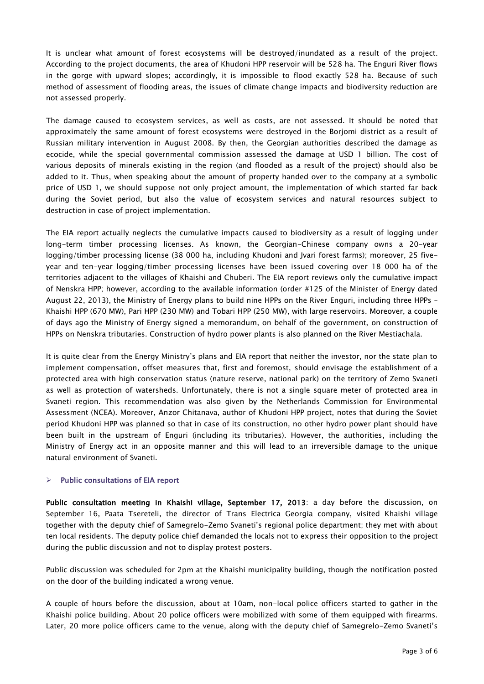It is unclear what amount of forest ecosystems will be destroyed/inundated as a result of the project. According to the project documents, the area of Khudoni HPP reservoir will be 528 ha. The Enguri River flows in the gorge with upward slopes; accordingly, it is impossible to flood exactly 528 ha. Because of such method of assessment of flooding areas, the issues of climate change impacts and biodiversity reduction are not assessed properly.

The damage caused to ecosystem services, as well as costs, are not assessed. It should be noted that approximately the same amount of forest ecosystems were destroyed in the Borjomi district as a result of Russian military intervention in August 2008. By then, the Georgian authorities described the damage as ecocide, while the special governmental commission assessed the damage at USD 1 billion. The cost of various deposits of minerals existing in the region (and flooded as a result of the project) should also be added to it. Thus, when speaking about the amount of property handed over to the company at a symbolic price of USD 1, we should suppose not only project amount, the implementation of which started far back during the Soviet period, but also the value of ecosystem services and natural resources subject to destruction in case of project implementation.

The EIA report actually neglects the cumulative impacts caused to biodiversity as a result of logging under long-term timber processing licenses. As known, the Georgian-Chinese company owns a 20-year logging/timber processing license (38 000 ha, including Khudoni and Jvari forest farms); moreover, 25 fiveyear and ten-year logging/timber processing licenses have been issued covering over 18 000 ha of the territories adjacent to the villages of Khaishi and Chuberi. The EIA report reviews only the cumulative impact of Nenskra HPP; however, according to the available information (order #125 of the Minister of Energy dated August 22, 2013), the Ministry of Energy plans to build nine HPPs on the River Enguri, including three HPPs – Khaishi HPP (670 MW), Pari HPP (230 MW) and Tobari HPP (250 MW), with large reservoirs. Moreover, a couple of days ago the Ministry of Energy signed a memorandum, on behalf of the government, on construction of HPPs on Nenskra tributaries. Construction of hydro power plants is also planned on the River Mestiachala.

It is quite clear from the Energy Ministry's plans and EIA report that neither the investor, nor the state plan to implement compensation, offset measures that, first and foremost, should envisage the establishment of a protected area with high conservation status (nature reserve, national park) on the territory of Zemo Svaneti as well as protection of watersheds. Unfortunately, there is not a single square meter of protected area in Svaneti region. This recommendation was also given by the Netherlands Commission for Environmental Assessment (NCEA). Moreover, Anzor Chitanava, author of Khudoni HPP project, notes that during the Soviet period Khudoni HPP was planned so that in case of its construction, no other hydro power plant should have been built in the upstream of Enguri (including its tributaries). However, the authorities, including the Ministry of Energy act in an opposite manner and this will lead to an irreversible damage to the unique natural environment of Svaneti.

### $\triangleright$  Public consultations of EIA report

Public consultation meeting in Khaishi village, September 17, 2013: a day before the discussion, on September 16, Paata Tsereteli, the director of Trans Electrica Georgia company, visited Khaishi village together with the deputy chief of Samegrelo-Zemo Svaneti's regional police department; they met with about ten local residents. The deputy police chief demanded the locals not to express their opposition to the project during the public discussion and not to display protest posters.

Public discussion was scheduled for 2pm at the Khaishi municipality building, though the notification posted on the door of the building indicated a wrong venue.

A couple of hours before the discussion, about at 10am, non-local police officers started to gather in the Khaishi police building. About 20 police officers were mobilized with some of them equipped with firearms. Later, 20 more police officers came to the venue, along with the deputy chief of Samegrelo-Zemo Svaneti's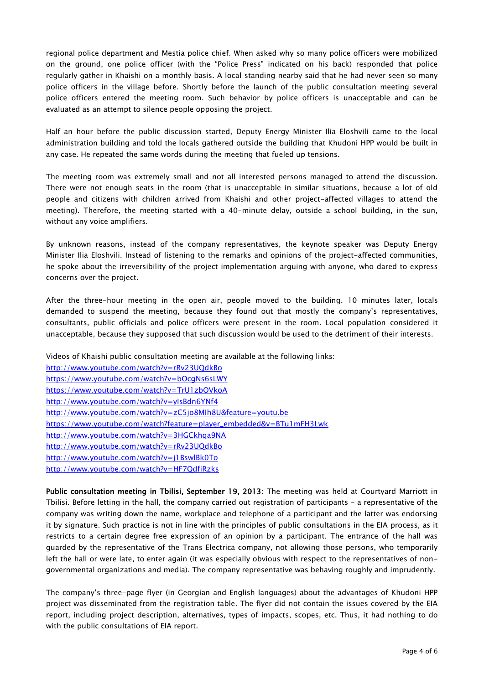regional police department and Mestia police chief. When asked why so many police officers were mobilized on the ground, one police officer (with the "Police Press" indicated on his back) responded that police regularly gather in Khaishi on a monthly basis. A local standing nearby said that he had never seen so many police officers in the village before. Shortly before the launch of the public consultation meeting several police officers entered the meeting room. Such behavior by police officers is unacceptable and can be evaluated as an attempt to silence people opposing the project.

Half an hour before the public discussion started, Deputy Energy Minister Ilia Eloshvili came to the local administration building and told the locals gathered outside the building that Khudoni HPP would be built in any case. He repeated the same words during the meeting that fueled up tensions.

The meeting room was extremely small and not all interested persons managed to attend the discussion. There were not enough seats in the room (that is unacceptable in similar situations, because a lot of old people and citizens with children arrived from Khaishi and other project-affected villages to attend the meeting). Therefore, the meeting started with a 40-minute delay, outside a school building, in the sun, without any voice amplifiers.

By unknown reasons, instead of the company representatives, the keynote speaker was Deputy Energy Minister Ilia Eloshvili. Instead of listening to the remarks and opinions of the project-affected communities, he spoke about the irreversibility of the project implementation arguing with anyone, who dared to express concerns over the project.

After the three-hour meeting in the open air, people moved to the building. 10 minutes later, locals demanded to suspend the meeting, because they found out that mostly the company's representatives, consultants, public officials and police officers were present in the room. Local population considered it unacceptable, because they supposed that such discussion would be used to the detriment of their interests.

Videos of Khaishi public consultation meeting are available at the following links: <http://www.youtube.com/watch?v=rRv23UQdkBo>

| https://www.youtube.com/watch?v=bOcgNs6sLWY                         |
|---------------------------------------------------------------------|
| https://www.youtube.com/watch?v=TrU1zbOVkoA                         |
| http://www.youtube.com/watch?v=ylsBdn6YNf4                          |
| http://www.youtube.com/watch?v=zC5jo8Mlh8U&feature=youtu.be         |
| https://www.youtube.com/watch?feature=player_embedded&v=BTu1mFH3Lwk |
| http://www.youtube.com/watch?v=3HGCkhqa9NA                          |
| http://www.youtube.com/watch?v=rRv23UQdkBo                          |
| http://www.youtube.com/watch?v=j1BswlBk0To                          |
| http://www.youtube.com/watch?v=HF7QdfiRzks                          |

Public consultation meeting in Tbilisi, September 19, 2013: The meeting was held at Courtyard Marriott in Tbilisi. Before letting in the hall, the company carried out registration of participants – a representative of the company was writing down the name, workplace and telephone of a participant and the latter was endorsing it by signature. Such practice is not in line with the principles of public consultations in the EIA process, as it restricts to a certain degree free expression of an opinion by a participant. The entrance of the hall was guarded by the representative of the Trans Electrica company, not allowing those persons, who temporarily left the hall or were late, to enter again (it was especially obvious with respect to the representatives of nongovernmental organizations and media). The company representative was behaving roughly and imprudently.

The company's three-page flyer (in Georgian and English languages) about the advantages of Khudoni HPP project was disseminated from the registration table. The flyer did not contain the issues covered by the EIA report, including project description, alternatives, types of impacts, scopes, etc. Thus, it had nothing to do with the public consultations of EIA report.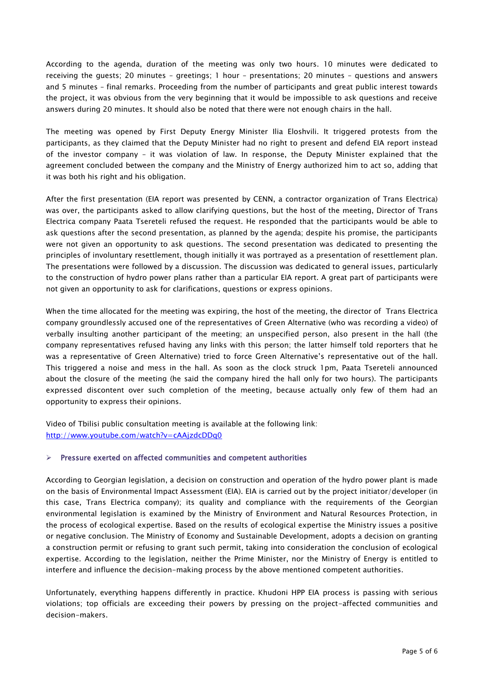According to the agenda, duration of the meeting was only two hours. 10 minutes were dedicated to receiving the guests; 20 minutes – greetings; 1 hour – presentations; 20 minutes – questions and answers and 5 minutes – final remarks. Proceeding from the number of participants and great public interest towards the project, it was obvious from the very beginning that it would be impossible to ask questions and receive answers during 20 minutes. It should also be noted that there were not enough chairs in the hall.

The meeting was opened by First Deputy Energy Minister Ilia Eloshvili. It triggered protests from the participants, as they claimed that the Deputy Minister had no right to present and defend EIA report instead of the investor company – it was violation of law. In response, the Deputy Minister explained that the agreement concluded between the company and the Ministry of Energy authorized him to act so, adding that it was both his right and his obligation.

After the first presentation (EIA report was presented by CENN, a contractor organization of Trans Electrica) was over, the participants asked to allow clarifying questions, but the host of the meeting, Director of Trans Electrica company Paata Tsereteli refused the request. He responded that the participants would be able to ask questions after the second presentation, as planned by the agenda; despite his promise, the participants were not given an opportunity to ask questions. The second presentation was dedicated to presenting the principles of involuntary resettlement, though initially it was portrayed as a presentation of resettlement plan. The presentations were followed by a discussion. The discussion was dedicated to general issues, particularly to the construction of hydro power plans rather than a particular EIA report. A great part of participants were not given an opportunity to ask for clarifications, questions or express opinions.

When the time allocated for the meeting was expiring, the host of the meeting, the director of Trans Electrica company groundlessly accused one of the representatives of Green Alternative (who was recording a video) of verbally insulting another participant of the meeting; an unspecified person, also present in the hall (the company representatives refused having any links with this person; the latter himself told reporters that he was a representative of Green Alternative) tried to force Green Alternative's representative out of the hall. This triggered a noise and mess in the hall. As soon as the clock struck 1pm, Paata Tsereteli announced about the closure of the meeting (he said the company hired the hall only for two hours). The participants expressed discontent over such completion of the meeting, because actually only few of them had an opportunity to express their opinions.

Video of Tbilisi public consultation meeting is available at the following link: <http://www.youtube.com/watch?v=cAAjzdcDDq0>

### $\triangleright$  Pressure exerted on affected communities and competent authorities

According to Georgian legislation, a decision on construction and operation of the hydro power plant is made on the basis of Environmental Impact Assessment (EIA). EIA is carried out by the project initiator/developer (in this case, Trans Electrica company); its quality and compliance with the requirements of the Georgian environmental legislation is examined by the Ministry of Environment and Natural Resources Protection, in the process of ecological expertise. Based on the results of ecological expertise the Ministry issues a positive or negative conclusion. The Ministry of Economy and Sustainable Development, adopts a decision on granting a construction permit or refusing to grant such permit, taking into consideration the conclusion of ecological expertise. According to the legislation, neither the Prime Minister, nor the Ministry of Energy is entitled to interfere and influence the decision-making process by the above mentioned competent authorities.

Unfortunately, everything happens differently in practice. Khudoni HPP EIA process is passing with serious violations; top officials are exceeding their powers by pressing on the project-affected communities and decision-makers.